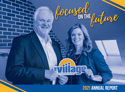

## **2021 annual Report**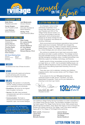

## **LEADERSHIP TEAM**

**Kelly Olson,**  *President and CEO*

**Candy Haugen,**  *Vice President of HR*

**Luke Klefstad,**  *Division Director* *Division Director* **Amie Lahren,** *Executive Assistant & Board Relations*

**Joni Medenwald,** 

**Shelley Treib,**  *Chief Financial Officer*

### **BOARD OF DIRECTORS**

**Thomas Rohleder,**  *Chairperson* **Jeanne Narum,**  *Vice Chairperson* **Timothy Sayler Paul Zenker Gail Bernabucci Chris Champ**

**Ellen Cooke Dr. Louise Dardis Rich Duysen Sandra Skallerud Dr. Cory Steiner Lorrie Thoemke Richard Warner, Ph.D.**

#### **2021 Board Meeting Dates**

**January 20**  *(executive committee)* **February 26**  *(joint meeting)*

**June 23 September 22 December 15**

## **MISSION**

To enhance the lives of those we serve

**March 24 April 28**  *(annual meeting)*

## **VISION**

To meet community needs and enhance overall well-being with innovative services and integrated care models

## **VALUES**

- **Integrity:** We operate in a trustworthy manner, holding ourselves accountable as an organization and individuals.
- **Excellence:** We strive for the highest level of quality in all we do.
- **Service:** We offer client-centered, compassionate care with an emphasis on collaboration.
- **Communication:** We foster a diverse environment that encourages respectful, open, and honest dialogue.

*Cover Photo:* With Jeff Pederson's retirement effective Dec. 31, 2021, Kelly Olson was named the next *President and CEO of The Village Family Service Center,* the first woman to ever hold the position.

## **A Letter from the CEO**

As a therapist, I strive to help individuals and families move forward after difficult times. As the new President and CEO of The Village Family Service Center, it is my honor and privilege to lead this organization and its amazing team forward as we slowly emerge from the COVID-19 pandemic and address the resulting challenges.



Work environments and employee expectations have evolved. Client needs have increased. Telehealth has changed the landscape of our services. While a counselor utilizes evidencebased therapy models, The Village's path forward will be guided by a robust strategic plan and various cultural initiatives.

focused witwe

We continue to evaluate how to best meet community needs and attract and retain a quality workforce. The strategic anchors and goals identified during our recent strategic planning process will help strengthen employee culture, increase partnerships, and effectively support our facilities, technology, and finances.

Healthy growth at times necessitates pruning the elements that no longer serve us. In 2021, due to persistent staffing issues, we made the difficult decisions to close our Devils Lake and Roseau offices and to stop offering Supervised Parenting Time at our Minot location.

There also was a lot to celebrate, including new initiatives, engaging events, client success stories, and The Village's 130th anniversary.

As we prepare for the next **130 years of service,** the continued support of staff, donors, volunteers, and other stakeholders is essential. Thank you for your dedication to ensuring no one has to go it alone.

**Kelly Olson, MS, LMFT** *President & CEO*



## **CHILDREN'S VILLAGE FAMILY SERVICE FOUNDATIO**

The Children's Village Family Service Foundation is a sister corporation to The Village Family Service Center. The foundation manages a trust fund that helps support The Village Family Service Center. Many people leave gifts through the foundation, which allows their legacy to live on through the families and children served by The Village. Learn more about making a legacy gift to The Village at TheVillageFamily.org/Giving.

**Matt Leiseth,** *Chairperson* **Jayne Gust Erik Hatch Michelle Kommer**

**Jeanne Narum Thomas Rohleder Tim Sayler Sandra Skallerud**

# **letter from the ceo**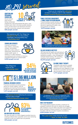

#### **Adoption and Pregnancy Counseling** Social workers

help women



facing unintended pregnancies craft individualized life plans, work to place each child in the best possible adoptive home, provide search and disclosure services, and offer community outreach and education. 839 people served

"My experience with The Village has *changed my life* in a very positive, meaningful, and long-lasting way." *– Counseling client*

#### **Counseling Services**

Licensed counselors help children, individuals, couples, and families deal with a wide variety of relationship, behavioral and mental health needs. In addition to in-office sessions,



counseling services include an Intensive Outpatient Program for mental health. 6,544 people served



**of clients surveyed 94% would give The Village an excellent rating!**

## **\$1.96 million paid to creditors in 2021**

### **Financial Resource Center**

Financial counselors provide proactive advice for money matters, such as budgeting and reaching financial goals, as well as a debt management program. 1,573 people served



"I felt *peace of mind* following the sessions. Having a plan is huge!" *– Financial Resource Center client*



#### **Big Brothers Big Sisters**

We clear the path to a child's biggest possible future by creating professionally supported, one-to-one mentoring matches so kids can realize their full potential. 349 people served

"Thank you for creating this *safe place* to share in creating a plan to help children!" *– Family Centered Engagement participant*

#### **Family Centered Engagement / Family Group Decision Making**

Trained facilitators guide families and service providers through important decisions regarding the safety, care, and protection of children. 2,979 people served





The Village sponsored booths at *Pride in the Pai* events in Minot, St. Cloud, and Fargo (pictured).

#### **Village Business Institute**

VBI improves the health and well-being of employees through The Village employee assistance program, crisis management, worksite-based training, HR consulting, coaching, and workplace mediation. 63,474 people served





#### **In-Home Family Therapy**

Therapists help parents navigate children's needs, teach effective parenting and work diligently to help families be successful; services are also provided in area schools. 1,711 people served



To celebrate *Recovery Month* in September, First Step Recovery put up a Recovery Wall and hosted a community screening of the documentary *"The Anonymous People."*

#### **First Step Recovery**

This Fargo-based program provides a continuum of outpatient treatment services for adults who struggle with substance use and offers education and support for family members of those involved in our programming. First Step staff also provides hospital consultations. 2,822 people served

"I'm *a year sober* today because of you!" *– Ryan, on Sept. 30, 2021*

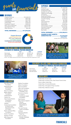

## **REVENUES**

| Program Revenue \$12,049,519      |  |
|-----------------------------------|--|
|                                   |  |
|                                   |  |
| Fundraising Events  \$367,754     |  |
|                                   |  |
| Foundation Support  \$250,004     |  |
| PPP Loan Forgiveness  \$2,047,894 |  |
| Administrative Fees  \$2,017,101  |  |
|                                   |  |

#### TOTAL REVENUES ............... \$17,875,232

**Program Revenues Administrative Fees PPP Loan Forgiveness Foundation Support Contributions and Fundraising Grants and United Ways**



## **WILY SERV Statement of Financial Position (unaudited)**

**2021 2020 CHANGE** Total Assets  $$12,061,305$   $$12,547,148$  (\$485,843) Total Liabilities  $$3,561,230$   $$5,603,834$  (\$2,042,604) Total Net Assets  $$8,500,075$   $$6,943,314$   $$1,556,761$ 

*NOTE: The Village received PPP funds in 2020 and recorded their forgiveness in 2021*



Village staff in *St. Cloud* participated in a fundraising event called Tending for a Cause on Nov. 3.

## **2021 Grants**

Alex Stern Family Foundation Alexandria Area **Community** Foundation Beito Foundation BNSF Railway Foundation Capital Electric Capital One Cass County Electric **Cooperative** Foundation **Citibank** Community Foundation of Grand Forks, East Grand Forks and Region Elmer and Kaya Berg Foundation Hector Foundation Kiwanis of Fargo MDU Resources Foundation

Medica Foundation Midco Foundation Myra Foundation Otter Tail Foundation Robert E. Herman Charitable Trust Runestone Electric St. Joseph's Community Health Foundation Safe Havens Stop Violence Against Women: North Dakota Department of Health Tom and Frances Leach Foundation US Bank Verendrye Electric Trust, Inc. Victor and Nina Cranley Charitable

Foundation

**EXPENSES** 

|                                      | \$429,146 |
|--------------------------------------|-----------|
|                                      | \$332,487 |
| Supplies & Lab Fees \$44,180         |           |
| Telephone & Postage                  | \$141,898 |
|                                      | \$920,840 |
| Equipment/Repairs                    | \$155,216 |
| Printing/Publications/Dues \$116,720 |           |
|                                      |           |
|                                      | \$91,668  |
|                                      |           |
|                                      |           |
|                                      |           |
| Administrative Charge \$2,019,001    |           |
| Insurance Expense  \$102,385         |           |
|                                      |           |
|                                      |           |

#### TOTAL EXPENSES ................ \$16,358,613 CHANGE IN NET ASSETS-UNRESTRICTED ..................... \$1,516,619

*UNAUDITED*

*Includes PPP Loan Forgiveness*



To kick off the 57th Annual Bobcat North Dakota Open, *Bigs and Littles* from BBBS took part in a golf clinic with instructor Dave Schultz at the Fargo Country Club.

## CHILDREN'S VILLAGE FAMILY SERV **Statement of Financial Position (unaudited)**

Total Assets  $$7,522,235$   $$7,209,148$   $$313,087$ Total Liabilities  $$677,045$  \$622,074 \$54,971 Total Net Assets  $$6,845,191$   $$6,587,074$   $$258,117$ 

**2021 2020 CHANGE**

## **United Ways**

United Way of Cass-Clay United Way of Grand Forks, East Grand Forks & Area Souris Valley United Way United Way of Central Minnesota United Way of Douglas & Pope Counties United Way of Barnes County



Amanda and Blaine Booher shared their story of adopting their son, Isaac, at The Village's *2021 Wine & Dine* gala on Nov. 12.

# **financials**